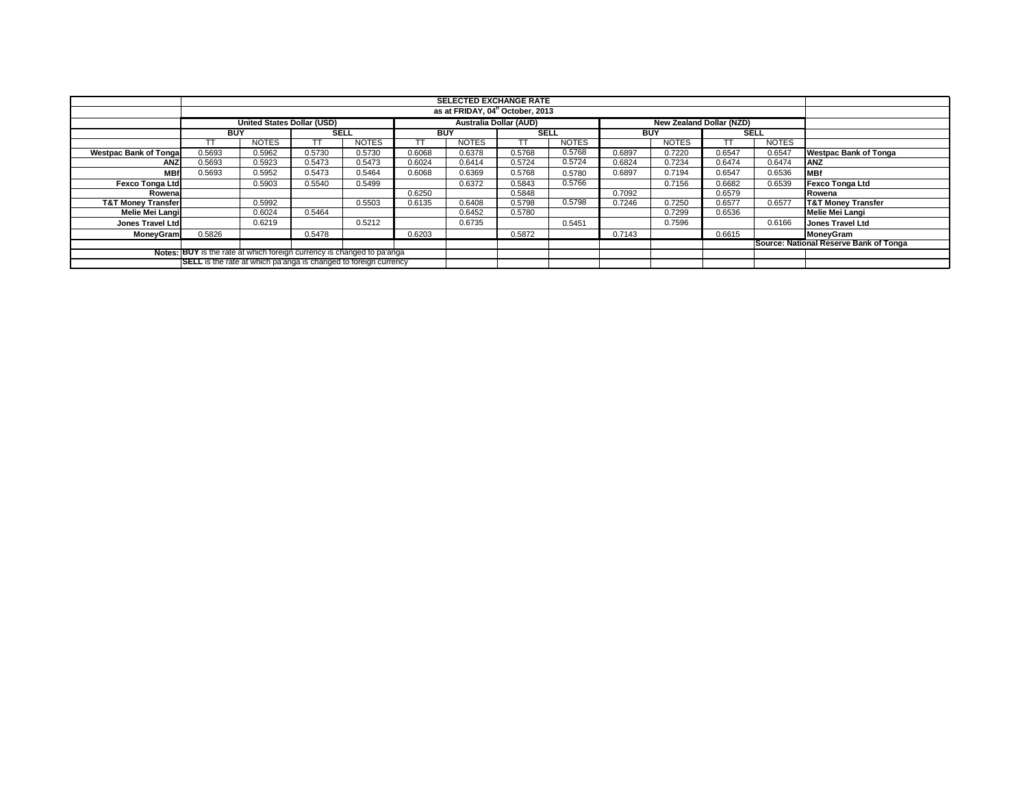| <b>SELECTED EXCHANGE RATE</b>                                           |                                 |              |        |              |        |                           |        |              |            |              |             |              |                                        |
|-------------------------------------------------------------------------|---------------------------------|--------------|--------|--------------|--------|---------------------------|--------|--------------|------------|--------------|-------------|--------------|----------------------------------------|
|                                                                         |                                 |              |        |              |        |                           |        |              |            |              |             |              |                                        |
|                                                                         | as at FRIDAY, 04" October, 2013 |              |        |              |        |                           |        |              |            |              |             |              |                                        |
|                                                                         | United States Dollar (USD)      |              |        |              |        |                           |        |              |            |              |             |              |                                        |
|                                                                         | <b>BUY</b><br><b>SELL</b>       |              |        |              |        | <b>BUY</b><br><b>SELL</b> |        |              | <b>BUY</b> |              | <b>SELL</b> |              |                                        |
|                                                                         | TT                              | <b>NOTES</b> |        | <b>NOTES</b> |        | <b>NOTES</b>              |        | <b>NOTES</b> |            | <b>NOTES</b> |             | <b>NOTES</b> |                                        |
| <b>Westpac Bank of Tonga</b>                                            | 0.5693                          | 0.5962       | 0.5730 | 0.5730       | 0.6068 | 0.6378                    | 0.5768 | 0.5768       | 0.6897     | 0.7220       | 0.6547      | 0.6547       | <b>Westpac Bank of Tonga</b>           |
| <b>ANZ</b>                                                              | 0.5693                          | 0.5923       | 0.5473 | 0.5473       | 0.6024 | 0.6414                    | 0.5724 | 0.5724       | 0.6824     | 0.7234       | 0.6474      | 0.6474       | ANZ                                    |
| <b>MBf</b>                                                              | 0.5693                          | 0.5952       | 0.5473 | 0.5464       | 0.6068 | 0.6369                    | 0.5768 | 0.5780       | 0.6897     | 0.7194       | 0.6547      | 0.6536       | <b>MBf</b>                             |
| <b>Fexco Tonga Ltd</b>                                                  |                                 | 0.5903       | 0.5540 | 0.5499       |        | 0.6372                    | 0.5843 | 0.5766       |            | 0.7156       | 0.6682      | 0.6539       | Fexco Tonga Ltd                        |
| Rowenal                                                                 |                                 |              |        |              | 0.6250 |                           | 0.5848 |              | 0.7092     |              | 0.6579      |              | Rowena                                 |
| <b>T&amp;T Money Transfer</b>                                           |                                 | 0.5992       |        | 0.5503       | 0.6135 | 0.6408                    | 0.5798 | 0.5798       | 0.7246     | 0.7250       | 0.6577      | 0.6577       | <b>T&amp;T Money Transfer</b>          |
| Melie Mei Langi                                                         |                                 | 0.6024       | 0.5464 |              |        | 0.6452                    | 0.5780 |              |            | 0.7299       | 0.6536      |              | Melie Mei Langi                        |
| Jones Travel Ltd                                                        |                                 | 0.6219       |        | 0.5212       |        | 0.6735                    |        | 0.5451       |            | 0.7596       |             | 0.6166       | Jones Travel Ltd                       |
| <b>MoneyGram</b>                                                        | 0.5826                          |              | 0.5478 |              | 0.6203 |                           | 0.5872 |              | 0.7143     |              | 0.6615      |              | MoneyGram                              |
|                                                                         |                                 |              |        |              |        |                           |        |              |            |              |             |              | Source: National Reserve Bank of Tonga |
| Notes: BUY is the rate at which foreign currency is changed to pa'anga  |                                 |              |        |              |        |                           |        |              |            |              |             |              |                                        |
| <b>SELL</b> is the rate at which pa'anga is changed to foreign currency |                                 |              |        |              |        |                           |        |              |            |              |             |              |                                        |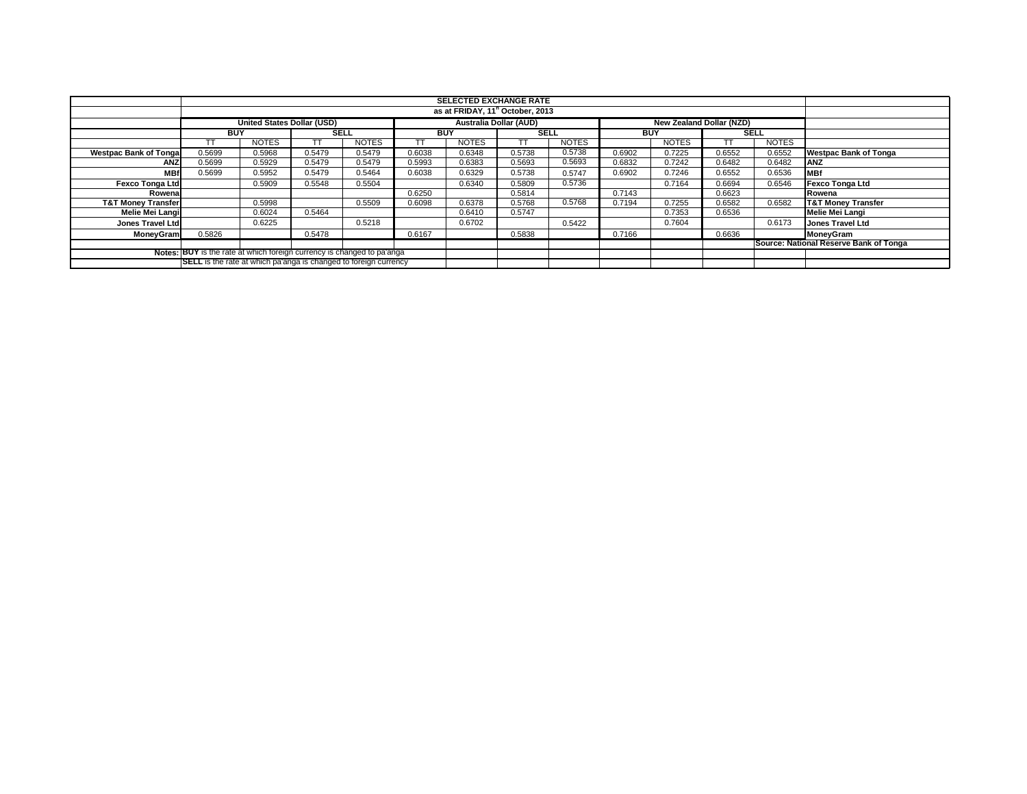|                                                                         |                           |                                                                                  |        |              |        | <b>SELECTED EXCHANGE RATE</b><br>as at FRIDAY, 11 <sup>h</sup> October, 2013 |        |              |            |              |        |              |                                        |  |  |
|-------------------------------------------------------------------------|---------------------------|----------------------------------------------------------------------------------|--------|--------------|--------|------------------------------------------------------------------------------|--------|--------------|------------|--------------|--------|--------------|----------------------------------------|--|--|
|                                                                         |                           |                                                                                  |        |              |        |                                                                              |        |              |            |              |        |              |                                        |  |  |
|                                                                         |                           | United States Dollar (USD)<br>Australia Dollar (AUD)<br>New Zealand Dollar (NZD) |        |              |        |                                                                              |        |              |            |              |        |              |                                        |  |  |
|                                                                         | <b>SELL</b><br><b>BUY</b> |                                                                                  |        |              |        | <b>BUY</b><br><b>SELL</b>                                                    |        |              | <b>BUY</b> |              |        | <b>SELL</b>  |                                        |  |  |
|                                                                         |                           | <b>NOTES</b>                                                                     |        | <b>NOTES</b> |        | <b>NOTES</b>                                                                 |        | <b>NOTES</b> |            | <b>NOTES</b> |        | <b>NOTES</b> |                                        |  |  |
| <b>Westpac Bank of Tongal</b>                                           | 0.5699                    | 0.5968                                                                           | 0.5479 | 0.5479       | 0.6038 | 0.6348                                                                       | 0.5738 | 0.5738       | 0.6902     | 0.7225       | 0.6552 | 0.6552       | <b>Westpac Bank of Tonga</b>           |  |  |
| ANZ                                                                     | 0.5699                    | 0.5929                                                                           | 0.5479 | 0.5479       | 0.5993 | 0.6383                                                                       | 0.5693 | 0.5693       | 0.6832     | 0.7242       | 0.6482 | 0.6482       | <b>ANZ</b>                             |  |  |
| <b>MBf</b>                                                              | 0.5699                    | 0.5952                                                                           | 0.5479 | 0.5464       | 0.6038 | 0.6329                                                                       | 0.5738 | 0.5747       | 0.6902     | 0.7246       | 0.6552 | 0.6536       | <b>MBf</b>                             |  |  |
| <b>Fexco Tonga Ltd</b>                                                  |                           | 0.5909                                                                           | 0.5548 | 0.5504       |        | 0.6340                                                                       | 0.5809 | 0.5736       |            | 0.7164       | 0.6694 | 0.6546       | <b>Fexco Tonga Ltd</b>                 |  |  |
| Rowena                                                                  |                           |                                                                                  |        |              | 0.6250 |                                                                              | 0.5814 |              | 0.7143     |              | 0.6623 |              | Rowena                                 |  |  |
| <b>T&amp;T Money Transfer</b>                                           |                           | 0.5998                                                                           |        | 0.5509       | 0.6098 | 0.6378                                                                       | 0.5768 | 0.5768       | 0.7194     | 0.7255       | 0.6582 | 0.6582       | <b>T&amp;T Money Transfer</b>          |  |  |
| Melie Mei Langi                                                         |                           | 0.6024                                                                           | 0.5464 |              |        | 0.6410                                                                       | 0.5747 |              |            | 0.7353       | 0.6536 |              | Melie Mei Langi                        |  |  |
| Jones Travel Ltd                                                        |                           | 0.6225                                                                           |        | 0.5218       |        | 0.6702                                                                       |        | 0.5422       |            | 0.7604       |        | 0.6173       | Jones Travel Ltd                       |  |  |
| MoneyGram                                                               | 0.5826                    |                                                                                  | 0.5478 |              | 0.6167 |                                                                              | 0.5838 |              | 0.7166     |              | 0.6636 |              | <b>MoneyGram</b>                       |  |  |
|                                                                         |                           |                                                                                  |        |              |        |                                                                              |        |              |            |              |        |              | Source: National Reserve Bank of Tonga |  |  |
| Notes: BUY is the rate at which foreign currency is changed to pa'anga  |                           |                                                                                  |        |              |        |                                                                              |        |              |            |              |        |              |                                        |  |  |
| <b>SELL</b> is the rate at which pa'anga is changed to foreign currency |                           |                                                                                  |        |              |        |                                                                              |        |              |            |              |        |              |                                        |  |  |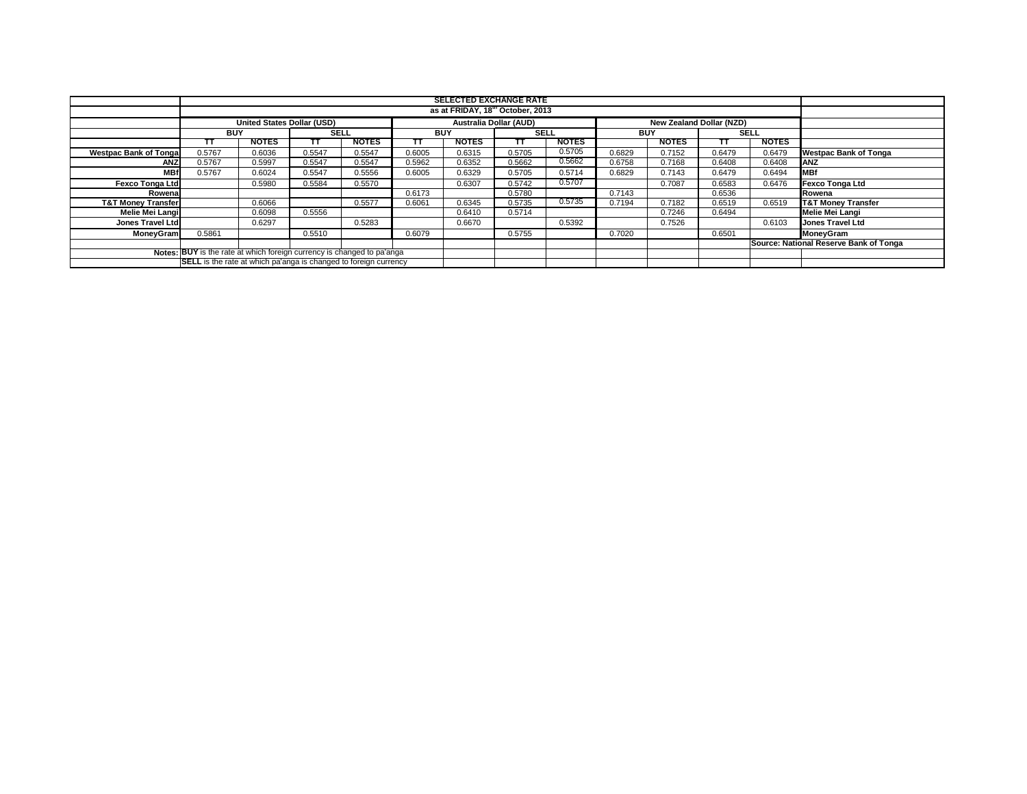|                               | <b>SELECTED EXCHANGE RATE</b>                                                                         |              |             |              |        |                           |        |              |            |              |             |              |                                        |
|-------------------------------|-------------------------------------------------------------------------------------------------------|--------------|-------------|--------------|--------|---------------------------|--------|--------------|------------|--------------|-------------|--------------|----------------------------------------|
|                               | as at FRIDAY, 18 <sup>th</sup> October, 2013                                                          |              |             |              |        |                           |        |              |            |              |             |              |                                        |
|                               | <b>United States Dollar (USD)</b><br><b>Australia Dollar (AUD)</b><br><b>New Zealand Dollar (NZD)</b> |              |             |              |        |                           |        |              |            |              |             |              |                                        |
|                               | <b>BUY</b>                                                                                            |              | <b>SELL</b> |              |        | <b>BUY</b><br><b>SELL</b> |        |              | <b>BUY</b> |              | <b>SELL</b> |              |                                        |
|                               | TΤ                                                                                                    | <b>NOTES</b> |             | <b>NOTES</b> | тт     | <b>NOTES</b>              |        | <b>NOTES</b> |            | <b>NOTES</b> | TΤ          | <b>NOTES</b> |                                        |
| <b>Westpac Bank of Tongal</b> | 0.5767                                                                                                | 0.6036       | 0.5547      | 0.5547       | 0.6005 | 0.6315                    | 0.5705 | 0.5705       | 0.6829     | 0.7152       | 0.6479      | 0.6479       | <b>Westpac Bank of Tonga</b>           |
| <b>ANZ</b>                    | 0.5767                                                                                                | 0.5997       | 0.5547      | 0.5547       | 0.5962 | 0.6352                    | 0.5662 | 0.5662       | 0.6758     | 0.7168       | 0.6408      | 0.6408       | <b>ANZ</b>                             |
| <b>MBf</b>                    | 0.5767                                                                                                | 0.6024       | 0.5547      | 0.5556       | 0.6005 | 0.6329                    | 0.5705 | 0.5714       | 0.6829     | 0.7143       | 0.6479      | 0.6494       | <b>MBf</b>                             |
| <b>Fexco Tonga Ltd</b>        |                                                                                                       | 0.5980       | 0.5584      | 0.5570       |        | 0.6307                    | 0.5742 | 0.5707       |            | 0.7087       | 0.6583      | 0.6476       | <b>Fexco Tonga Ltd</b>                 |
| Rowenal                       |                                                                                                       |              |             |              | 0.6173 |                           | 0.5780 |              | 0.7143     |              | 0.6536      |              | Rowena                                 |
| <b>T&amp;T Money Transfer</b> |                                                                                                       | 0.6066       |             | 0.5577       | 0.6061 | 0.6345                    | 0.5735 | 0.5735       | 0.7194     | 0.7182       | 0.6519      | 0.6519       | <b>T&amp;T Money Transfer</b>          |
| Melie Mei Langi               |                                                                                                       | 0.6098       | 0.5556      |              |        | 0.6410                    | 0.5714 |              |            | 0.7246       | 0.6494      |              | Melie Mei Langi                        |
| Jones Travel Ltd              |                                                                                                       | 0.6297       |             | 0.5283       |        | 0.6670                    |        | 0.5392       |            | 0.7526       |             | 0.6103       | <b>Jones Travel Ltd</b>                |
| <b>MoneyGram</b>              | 0.5861                                                                                                |              | 0.5510      |              | 0.6079 |                           | 0.5755 |              | 0.7020     |              | 0.6501      |              | <b>MoneyGram</b>                       |
|                               |                                                                                                       |              |             |              |        |                           |        |              |            |              |             |              | Source: National Reserve Bank of Tonga |
|                               | Notes: BUY is the rate at which foreign currency is changed to pa'anga                                |              |             |              |        |                           |        |              |            |              |             |              |                                        |
|                               | SELL is the rate at which pa'anga is changed to foreign currency                                      |              |             |              |        |                           |        |              |            |              |             |              |                                        |